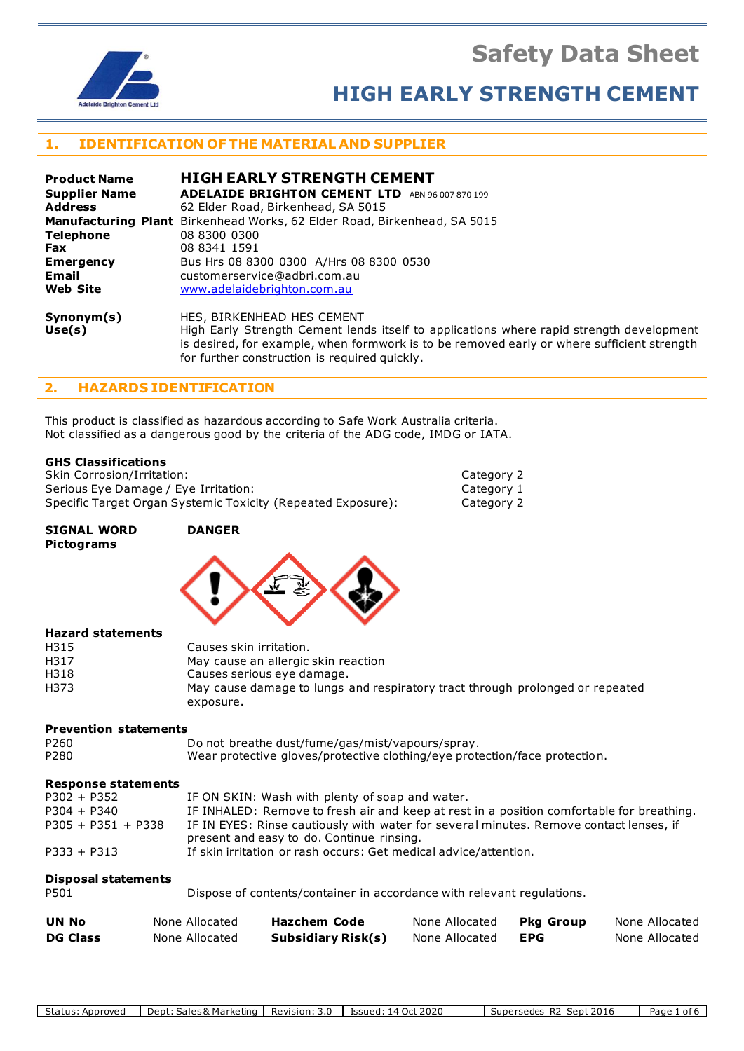**Safety Data Sheet**



# **HIGH EARLY STRENGTH CEMENT**

Category 2 Category 1 Category 2

# **1. IDENTIFICATION OF THE MATERIAL AND SUPPLIER**

| <b>Product Name</b>        | <b>HIGH EARLY STRENGTH CEMENT</b>                                                                                         |
|----------------------------|---------------------------------------------------------------------------------------------------------------------------|
| <b>Supplier Name</b>       | <b>ADELAIDE BRIGHTON CEMENT LTD</b><br>ABN 96 007 870 199                                                                 |
| <b>Address</b>             | 62 Elder Road, Birkenhead, SA 5015                                                                                        |
|                            | Manufacturing Plant Birkenhead Works, 62 Elder Road, Birkenhead, SA 5015                                                  |
| <b>Telephone</b>           | 08 8300 0300                                                                                                              |
| <b>Fax</b>                 | 08 8341 1591                                                                                                              |
| <b>Emergency</b>           | Bus Hrs 08 8300 0300 A/Hrs 08 8300 0530                                                                                   |
| Email                      | customerservice@adbri.com.au                                                                                              |
| <b>Web Site</b>            | www.adelaidebrighton.com.au                                                                                               |
| Synonym(s)<br>$H = -L - V$ | HES, BIRKENHEAD HES CEMENT<br>Uliah Faulu Chuanath Canaant landa itaalê ta sanijastisna whaya yanid stuanath davalannasht |

**Use(s)** High Early Strength Cement lends itself to applications where rapid strength development is desired, for example, when formwork is to be removed early or where sufficient strength for further construction is required quickly.

# **2. HAZARDS IDENTIFICATION**

This product is classified as hazardous according to Safe Work Australia criteria. Not classified as a dangerous good by the criteria of the ADG code, IMDG or IATA.

## **GHS Classifications**

| Skin Corrosion/Irritation:                                   |
|--------------------------------------------------------------|
| Serious Eye Damage / Eye Irritation:                         |
| Specific Target Organ Systemic Toxicity (Repeated Exposure): |

exposure.

| <b>SIGNAL WORD</b><br><b>Pictograms</b> | <b>DANGER</b>                                                                 |
|-----------------------------------------|-------------------------------------------------------------------------------|
|                                         |                                                                               |
| <b>Hazard statements</b>                |                                                                               |
| H315                                    | Causes skin irritation.                                                       |
| H317                                    | May cause an allergic skin reaction                                           |
| H318                                    | Causes serious eye damage.                                                    |
| H373                                    | May cause damage to lungs and respiratory tract through prolonged or repeated |

#### **Prevention statements**

| P260 | Do not breathe dust/fume/gas/mist/vapours/spray.                           |
|------|----------------------------------------------------------------------------|
| P280 | Wear protective gloves/protective clothing/eye protection/face protection. |

# **Response statements**

| <b>UN No</b>                       | None Allocated | <b>Hazchem Code</b>                                                                                                                 | None Allocated | <b>Pka Group</b> | None Allocated |  |  |
|------------------------------------|----------------|-------------------------------------------------------------------------------------------------------------------------------------|----------------|------------------|----------------|--|--|
| <b>Disposal statements</b><br>P501 |                | Dispose of contents/container in accordance with relevant regulations.                                                              |                |                  |                |  |  |
| $P333 + P313$                      |                | If skin irritation or rash occurs: Get medical advice/attention.                                                                    |                |                  |                |  |  |
| $P305 + P351 + P338$               |                | IF IN EYES: Rinse cautiously with water for several minutes. Remove contact lenses, if<br>present and easy to do. Continue rinsing. |                |                  |                |  |  |
| $P304 + P340$                      |                | IF INHALED: Remove to fresh air and keep at rest in a position comfortable for breathing.                                           |                |                  |                |  |  |
| $P302 + P352$                      |                | IF ON SKIN: Wash with plenty of soap and water.                                                                                     |                |                  |                |  |  |

**DG Class** None Allocated **Subsidiary Risk(s)** None Allocated **EPG** None Allocated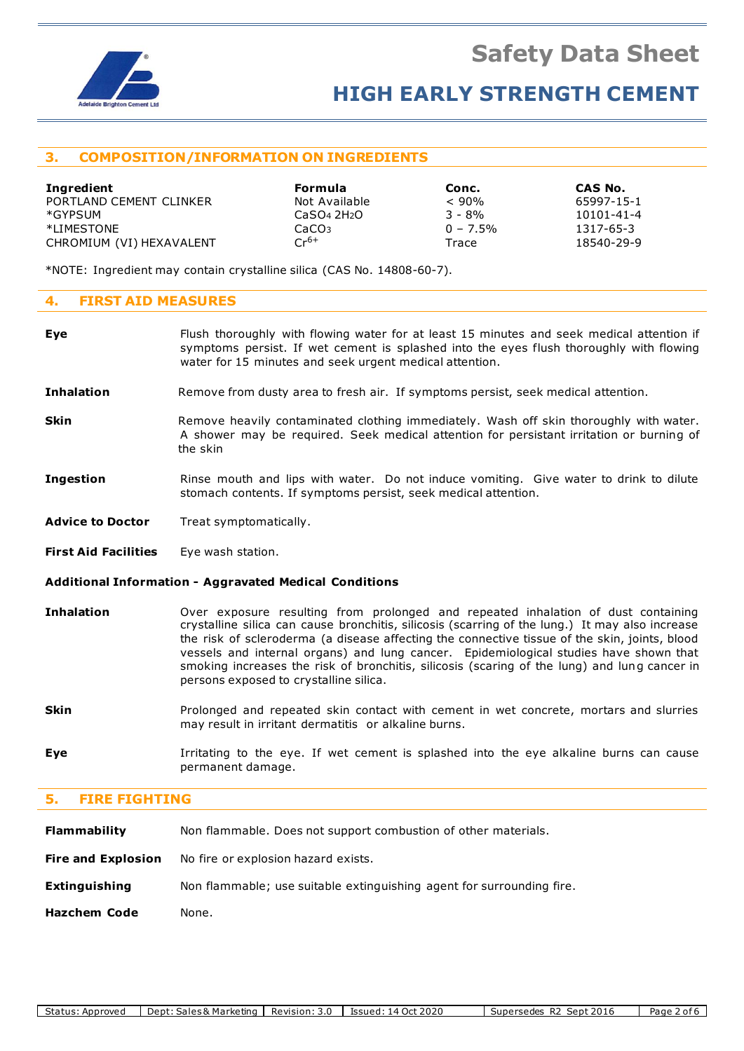

# **HIGH EARLY STRENGTH CEMENT**

# **3. COMPOSITION/INFORMATION ON INGREDIENTS**

| Ingredient               | Formula                             | Conc.       | CAS No.    |
|--------------------------|-------------------------------------|-------------|------------|
| PORTLAND CEMENT CLINKER  | Not Available                       | $< 90\%$    | 65997-15-1 |
| *GYPSUM                  | CaSO <sub>4</sub> 2H <sub>2</sub> O | $3 - 8%$    | 10101-41-4 |
| *LIMESTONE               | CaCO <sub>3</sub>                   | $0 - 7.5\%$ | 1317-65-3  |
| CHROMIUM (VI) HEXAVALENT | $Cr^{6+}$                           | Trace       | 18540-29-9 |

\*NOTE: Ingredient may contain crystalline silica (CAS No. 14808-60-7).

# **4. FIRST AID MEASURES**

| Eve               | Flush thoroughly with flowing water for at least 15 minutes and seek medical attention if<br>symptoms persist. If wet cement is splashed into the eyes flush thoroughly with flowing<br>water for 15 minutes and seek urgent medical attention. |
|-------------------|-------------------------------------------------------------------------------------------------------------------------------------------------------------------------------------------------------------------------------------------------|
| <b>Inhalation</b> | Remove from dusty area to fresh air. If symptoms persist, seek medical attention.                                                                                                                                                               |
| Skin              | Remove heavily contaminated clothing immediately. Wash off skin thoroughly with water.<br>A shower may be required. Seek medical attention for persistant irritation or burning of                                                              |

- **Ingestion** Rinse mouth and lips with water. Do not induce vomiting. Give water to drink to dilute stomach contents. If symptoms persist, seek medical attention.
- Advice to Doctor Treat symptomatically.

the skin

**First Aid Facilities** Eye wash station.

### **Additional Information - Aggravated Medical Conditions**

- **Inhalation** Over exposure resulting from prolonged and repeated inhalation of dust containing crystalline silica can cause bronchitis, silicosis (scarring of the lung.) It may also increase the risk of scleroderma (a disease affecting the connective tissue of the skin, joints, blood vessels and internal organs) and lung cancer. Epidemiological studies have shown that smoking increases the risk of bronchitis, silicosis (scaring of the lung) and lung cancer in persons exposed to crystalline silica.
- **Skin** Prolonged and repeated skin contact with cement in wet concrete, mortars and slurries may result in irritant dermatitis or alkaline burns.
- **Eye I**rritating to the eye. If wet cement is splashed into the eye alkaline burns can cause permanent damage.

# **5. FIRE FIGHTING**

| <b>Flammability</b>       | Non flammable. Does not support combustion of other materials.        |
|---------------------------|-----------------------------------------------------------------------|
| <b>Fire and Explosion</b> | No fire or explosion hazard exists.                                   |
| <b>Extinguishing</b>      | Non flammable; use suitable extinguishing agent for surrounding fire. |
| <b>Hazchem Code</b>       | None.                                                                 |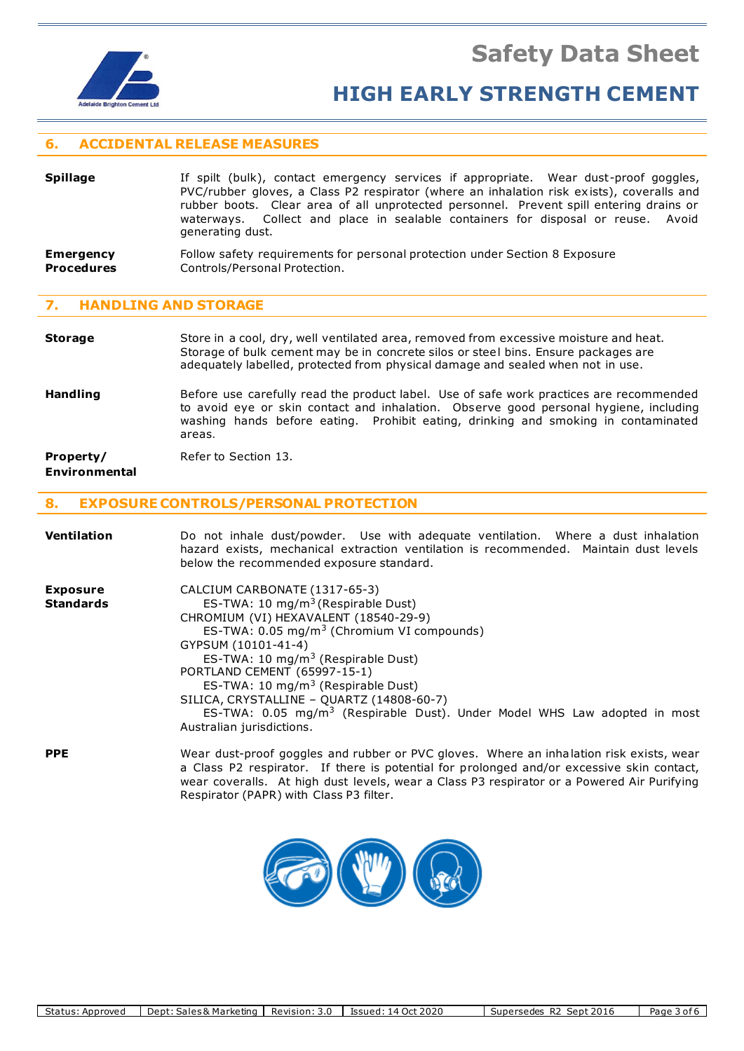



# **6. ACCIDENTAL RELEASE MEASURES**

| <b>Spillage</b> | If spilt (bulk), contact emergency services if appropriate. Wear dust-proof goggles,      |
|-----------------|-------------------------------------------------------------------------------------------|
|                 | PVC/rubber gloves, a Class P2 respirator (where an inhalation risk exists), coveralls and |
|                 | rubber boots. Clear area of all unprotected personnel. Prevent spill entering drains or   |
|                 | waterways. Collect and place in sealable containers for disposal or reuse. Avoid          |
|                 | generating dust.                                                                          |
|                 |                                                                                           |

**Emergency** Follow safety requirements for personal protection under Section 8 Exposure<br>**Procedures** Controls/Personal Protection. **Controls/Personal Protection.** 

### **7. HANDLING AND STORAGE**

### **Storage** Store in a cool, dry, well ventilated area, removed from excessive moisture and heat. Storage of bulk cement may be in concrete silos or steel bins. Ensure packages are adequately labelled, protected from physical damage and sealed when not in use.

**Handling** Before use carefully read the product label. Use of safe work practices are recommended to avoid eye or skin contact and inhalation. Observe good personal hygiene, including washing hands before eating. Prohibit eating, drinking and smoking in contaminated areas.

# **Property/** Refer to Section 13.

# **Environmental**

## **8. EXPOSURE CONTROLS/PERSONAL PROTECTION**

| <b>Ventilation</b>                  | Do not inhale dust/powder. Use with adequate ventilation. Where a dust inhalation<br>hazard exists, mechanical extraction ventilation is recommended. Maintain dust levels<br>below the recommended exposure standard.                                                                                                                                                                                                                                                                                            |
|-------------------------------------|-------------------------------------------------------------------------------------------------------------------------------------------------------------------------------------------------------------------------------------------------------------------------------------------------------------------------------------------------------------------------------------------------------------------------------------------------------------------------------------------------------------------|
| <b>Exposure</b><br><b>Standards</b> | CALCIUM CARBONATE (1317-65-3)<br>ES-TWA: 10 mg/m <sup>3</sup> (Respirable Dust)<br>CHROMIUM (VI) HEXAVALENT (18540-29-9)<br>ES-TWA: 0.05 mg/m <sup>3</sup> (Chromium VI compounds)<br>GYPSUM (10101-41-4)<br>ES-TWA: 10 mg/m <sup>3</sup> (Respirable Dust)<br>PORTLAND CEMENT (65997-15-1)<br>ES-TWA: 10 mg/m <sup>3</sup> (Respirable Dust)<br>SILICA, CRYSTALLINE - QUARTZ (14808-60-7)<br>ES-TWA: $0.05 \, \text{mg/m}^3$ (Respirable Dust). Under Model WHS Law adopted in most<br>Australian jurisdictions. |
| <b>PPE</b>                          | Wear dust-proof goggles and rubber or PVC gloves. Where an inhalation risk exists, wear<br>a Class P2 respirator. If there is potential for prolonged and/or excessive skin contact,<br>wear coveralls. At high dust levels, wear a Class P3 respirator or a Powered Air Purifying<br>Respirator (PAPR) with Class P3 filter.                                                                                                                                                                                     |

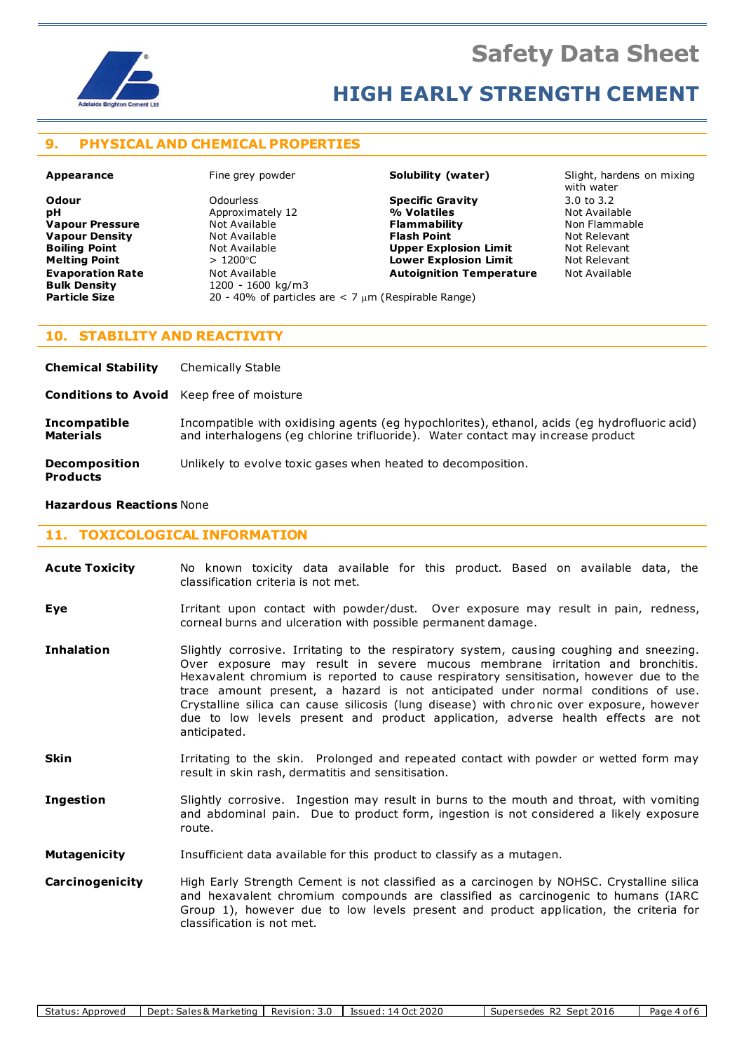

# **HIGH EARLY STRENGTH CEMENT**

# **9. PHYSICAL AND CHEMICAL PROPERTIES**

**Bulk Density** 1200 - 1600 kg/m3<br> **Particle Size** 20 - 40% of particle

**Vapour Pressure Not Available <b>Flammability Flammability Flammability** Not Available **Flammability Flammability Evaporation Rate Autoignition Component Component Autoignition Temperature** Mot Available<br> **Bulk Density Autoignition Component Component Component Component Component Component Component Component Compo** 

**Odour** Odourless **Specific Gravity** 3.0 to 3.2 **pH Approximately 12 12 Mexical Approximately 12 12 Mexical Available Not Available Vapour Pressure** Not Available **Vapour Pressure** Not Available **Vapour Density Not Available Communist Classic Relevant Communist Plash Point Not Relevant Boiling Point Not Available 19 (A) Upper Explosion Limit** Mot Relevant **Not Relevant Not Relevant Not Relevant Not Relevant Melting Point**  $\rightarrow$  1200°C **Lower Explosion Limit** 

**Appearance** Fine grey powder **Solubility (water)** Slight, hardens on mixing with water

## **10. STABILITY AND REACTIVITY**

| <b>Chemical Stability</b>                        | <b>Chemically Stable</b>                                                                                                                                                        |
|--------------------------------------------------|---------------------------------------------------------------------------------------------------------------------------------------------------------------------------------|
| <b>Conditions to Avoid</b> Keep free of moisture |                                                                                                                                                                                 |
| <b>Incompatible</b><br><b>Materials</b>          | Incompatible with oxidising agents (eg hypochlorites), ethanol, acids (eg hydrofluoric acid)<br>and interhalogens (eq chlorine trifluoride). Water contact may increase product |
| <b>Decomposition</b><br><b>Products</b>          | Unlikely to evolve toxic gases when heated to decomposition.                                                                                                                    |

**Particle Size** 20 - 40% of particles are < 7 m (Respirable Range)

#### **Hazardous Reactions** None

#### **11. TOXICOLOGICAL INFORMATION**

- **Acute Toxicity** No known toxicity data available for this product. Based on available data, the classification criteria is not met.
- **Eye I**rritant upon contact with powder/dust. Over exposure may result in pain, redness, corneal burns and ulceration with possible permanent damage.
- **Inhalation** Slightly corrosive. Irritating to the respiratory system, causing coughing and sneezing. Over exposure may result in severe mucous membrane irritation and bronchitis. Hexavalent chromium is reported to cause respiratory sensitisation, however due to the trace amount present, a hazard is not anticipated under normal conditions of use. Crystalline silica can cause silicosis (lung disease) with chronic over exposure, however due to low levels present and product application, adverse health effects are not anticipated.
- **Skin** Irritating to the skin. Prolonged and repeated contact with powder or wetted form may result in skin rash, dermatitis and sensitisation.
- **Ingestion** Slightly corrosive. Ingestion may result in burns to the mouth and throat, with vomiting and abdominal pain. Due to product form, ingestion is not considered a likely exposure route.
- **Mutagenicity** Insufficient data available for this product to classify as a mutagen.
- **Carcinogenicity** High Early Strength Cement is not classified as a carcinogen by NOHSC. Crystalline silica and hexavalent chromium compounds are classified as carcinogenic to humans (IARC Group 1), however due to low levels present and product application, the criteria for classification is not met.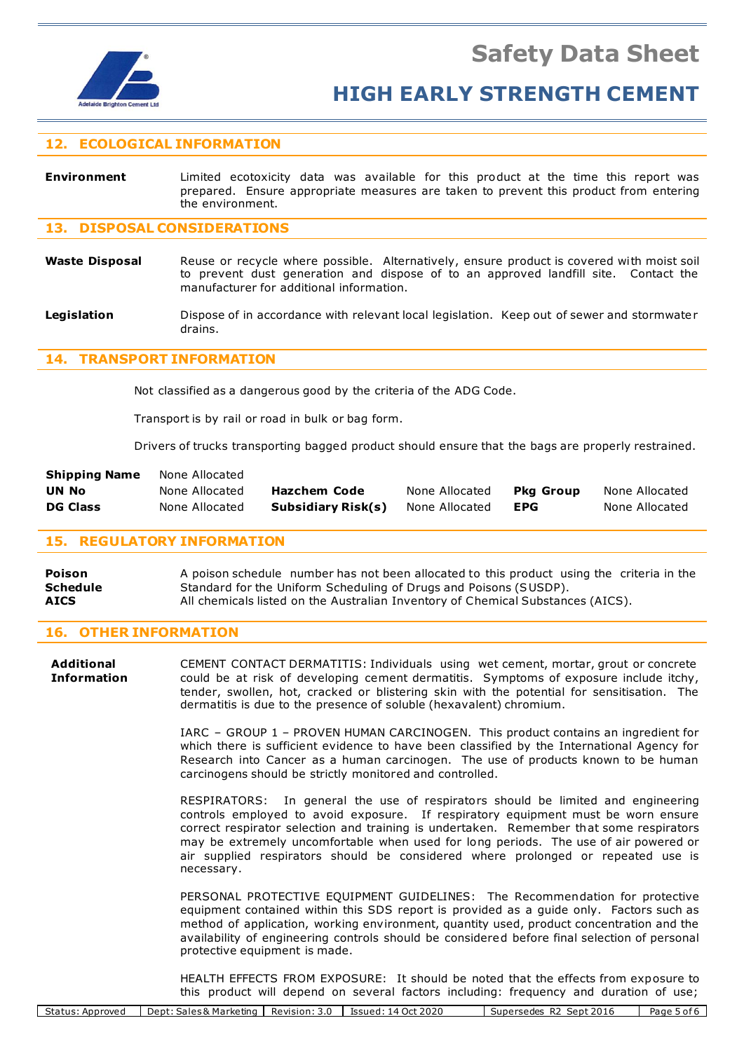

# **12. ECOLOGICAL INFORMATION**

**Environment** Limited ecotoxicity data was available for this product at the time this report was prepared. Ensure appropriate measures are taken to prevent this product from entering the environment.

# **13. DISPOSAL CONSIDERATIONS**

- Waste Disposal Reuse or recycle where possible. Alternatively, ensure product is covered with moist soil to prevent dust generation and dispose of to an approved landfill site. Contact the manufacturer for additional information.
- **Legislation** Dispose of in accordance with relevant local legislation. Keep out of sewer and stormwater drains.

## **14. TRANSPORT INFORMATION**

Not classified as a dangerous good by the criteria of the ADG Code.

Transport is by rail or road in bulk or bag form.

Drivers of trucks transporting bagged product should ensure that the bags are properly restrained.

| <b>Shipping Name</b> | None Allocated |                    |                |                  |                |
|----------------------|----------------|--------------------|----------------|------------------|----------------|
| UN No                | None Allocated | Hazchem Code       | None Allocated | <b>Pka Group</b> | None Allocated |
| <b>DG Class</b>      | None Allocated | Subsidiary Risk(s) | None Allocated | EPG              | None Allocated |

## **15. REGULATORY INFORMATION**

**Poison** A poison schedule number has not been allocated to this product using the criteria in the **Schedule** Standard for the Uniform Scheduling of Drugs and Poisons (SUSDP). **AICS** All chemicals listed on the Australian Inventory of Chemical Substances (AICS).

# **16. OTHER INFORMATION**

**Additional** CEMENT CONTACT DERMATITIS: Individuals using wet cement, mortar, grout or concrete **Information** could be at risk of developing cement dermatitis. Symptoms of exposure include itchy, tender, swollen, hot, cracked or blistering skin with the potential for sensitisation. The dermatitis is due to the presence of soluble (hexavalent) chromium.

> IARC – GROUP 1 – PROVEN HUMAN CARCINOGEN. This product contains an ingredient for which there is sufficient evidence to have been classified by the International Agency for Research into Cancer as a human carcinogen. The use of products known to be human carcinogens should be strictly monitored and controlled.

> RESPIRATORS: In general the use of respirators should be limited and engineering controls employed to avoid exposure. If respiratory equipment must be worn ensure correct respirator selection and training is undertaken. Remember that some respirators may be extremely uncomfortable when used for long periods. The use of air powered or air supplied respirators should be considered where prolonged or repeated use is necessary.

> PERSONAL PROTECTIVE EQUIPMENT GUIDELINES: The Recommendation for protective equipment contained within this SDS report is provided as a guide only. Factors such as method of application, working environment, quantity used, product concentration and the availability of engineering controls should be considered before final selection of personal protective equipment is made.

> HEALTH EFFECTS FROM EXPOSURE: It should be noted that the effects from exposure to this product will depend on several factors including: frequency and duration of use;